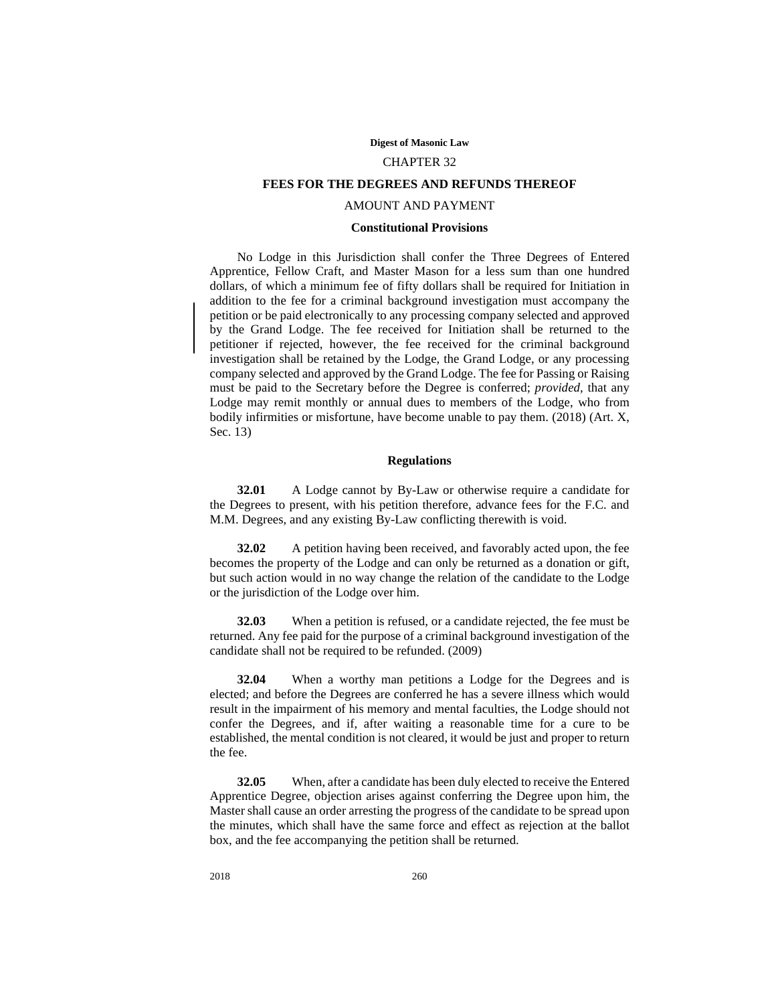#### **Digest of Masonic Law**

# CHAPTER 32

# **FEES FOR THE DEGREES AND REFUNDS THEREOF**

### AMOUNT AND PAYMENT

### **Constitutional Provisions**

No Lodge in this Jurisdiction shall confer the Three Degrees of Entered Apprentice, Fellow Craft, and Master Mason for a less sum than one hundred dollars, of which a minimum fee of fifty dollars shall be required for Initiation in addition to the fee for a criminal background investigation must accompany the petition or be paid electronically to any processing company selected and approved by the Grand Lodge. The fee received for Initiation shall be returned to the petitioner if rejected, however, the fee received for the criminal background investigation shall be retained by the Lodge, the Grand Lodge, or any processing company selected and approved by the Grand Lodge. The fee for Passing or Raising must be paid to the Secretary before the Degree is conferred; *provided,* that any Lodge may remit monthly or annual dues to members of the Lodge, who from bodily infirmities or misfortune, have become unable to pay them. (2018) (Art. X, Sec. 13)

# **Regulations**

**32.01** A Lodge cannot by By-Law or otherwise require a candidate for the Degrees to present, with his petition therefore, advance fees for the F.C. and M.M. Degrees, and any existing By-Law conflicting therewith is void.

**32.02** A petition having been received, and favorably acted upon, the fee becomes the property of the Lodge and can only be returned as a donation or gift, but such action would in no way change the relation of the candidate to the Lodge or the jurisdiction of the Lodge over him.

**32.03** When a petition is refused, or a candidate rejected, the fee must be returned. Any fee paid for the purpose of a criminal background investigation of the candidate shall not be required to be refunded. (2009)

**32.04** When a worthy man petitions a Lodge for the Degrees and is elected; and before the Degrees are conferred he has a severe illness which would result in the impairment of his memory and mental faculties, the Lodge should not confer the Degrees, and if, after waiting a reasonable time for a cure to be established, the mental condition is not cleared, it would be just and proper to return the fee.

**32.05** When, after a candidate has been duly elected to receive the Entered Apprentice Degree, objection arises against conferring the Degree upon him, the Master shall cause an order arresting the progress of the candidate to be spread upon the minutes, which shall have the same force and effect as rejection at the ballot box, and the fee accompanying the petition shall be returned.